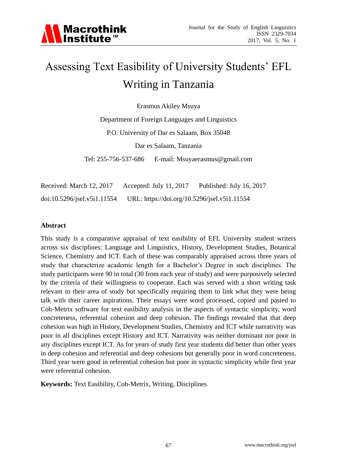

# Assessing Text Easibility of University Students' EFL Writing in Tanzania

Erasmus Akiley Msuya

Department of Foreign Languages and Linguistics P.O. University of Dar es Salaam, Box 35048 Dar es Salaam, Tanzania Tel: 255-756-537-686 E-mail: Msuyaerasmus@gmail.com

Received: March 12, 2017 Accepted: July 11, 2017 Published: July 16, 2017 doi:10.5296/jsel.v5i1.11554 URL: https://doi.org/10.5296/jsel.v5i1.11554

#### **Abstract**

This study is a comparative appraisal of text easibility of EFL University student writers across six disciplines: Language and Linguistics, History, Development Studies, Botanical Science, Chemistry and ICT. Each of these was comparably appraised across three years of study that characterize academic length for a Bachelor"s Degree in such disciplines. The study participants were 90 in total (30 from each year of study) and were purposively selected by the criteria of their willingness to cooperate. Each was served with a short writing task relevant to their area of study but specifically requiring them to link what they were being talk with their career aspirations. Their essays were word processed, copied and pasted to Coh-Metrix software for text easibility analysis in the aspects of syntactic simplicity, word concreteness, referential cohesion and deep cohesion. The findings revealed that that deep cohesion was high in History, Development Studies, Chemistry and ICT while narrativity was poor in all disciplines except History and ICT. Narrativity was neither dominant nor poor in any disciplines except ICT. As for years of study first year students did better than other years in deep cohesion and referential and deep cohesions but generally poor in word concreteness. Third year were good in referential cohesion but poor in syntactic simplicity while first year were referential cohesion.

**Keywords:** Text Easibility, Coh-Metrix, Writing, Disciplines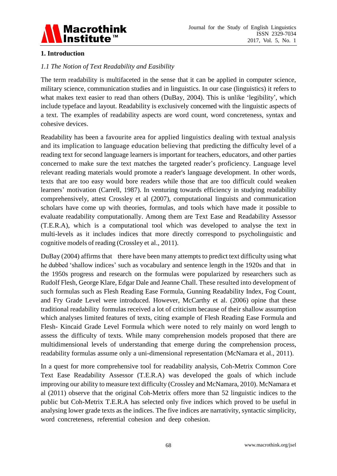

# **1. Introduction**

# *1.1 The Notion of Text Readability and Easibility*

The term readability is multifaceted in the sense that it can be applied in computer science, military science, communication studies and in linguistics. In our case (linguistics) it refers to what makes text easier to read than others (DuBay, 2004). This is unlike "legibility", which include typeface and layout. Readability is exclusively concerned with the linguistic aspects of a text. The examples of readability aspects are word count, word concreteness, syntax and cohesive devices.

Readability has been a favourite area for applied linguistics dealing with textual analysis and its implication to language education believing that predicting the difficulty level of a reading text for second language learners is important for teachers, educators, and other parties concerned to make sure the text matches the targeted reader"s proficiency. Language level relevant reading materials would promote a reader's language development. In other words, texts that are too easy would bore readers while those that are too difficult could weaken learners' motivation (Carrell, 1987). In venturing towards efficiency in studying readability comprehensively, attest Crossley et al (2007), computational linguists and communication scholars have come up with theories, formulas, and tools which have made it possible to evaluate readability computationally. Among them are Text Ease and Readability Assessor (T.E.R.A), which is a computational tool which was developed to analyse the text in multi-levels as it includes indices that more directly correspond to psycholinguistic and cognitive models of reading (Crossley et al., 2011).

DuBay (2004) affirms that there have been many attempts to predict text difficulty using what he dubbed "shallow indices" such as vocabulary and sentence length in the 1920s and that in the 1950s progress and research on the formulas were popularized by researchers such as Rudolf Flesh, George Klare, Edgar Dale and Jeanne Chall. These resulted into development of such formulas such as Flesh Reading Ease Formula, Gunning Readability Index, Fog Count, and Fry Grade Level were introduced. However, McCarthy et al. (2006) opine that these traditional readability formulas received a lot of criticism because of their shallow assumption which analyses limited features of texts, citing example of Flesh Reading Ease Formula and Flesh- Kincaid Grade Level Formula which were noted to rely mainly on word length to assess the difficulty of texts. While many comprehension models proposed that there are multidimensional levels of understanding that emerge during the comprehension process, readability formulas assume only a uni-dimensional representation (McNamara et al., 2011).

In a quest for more comprehensive tool for readability analysis, Coh-Metrix Common Core Text Ease Readability Assessor (T.E.R.A) was developed the goals of which include improving our ability to measure text difficulty (Crossley and McNamara, 2010). McNamara et al (2011) observe that the original Coh-Metrix offers more than 52 linguistic indices to the public but Coh-Metrix T.E.R.A has selected only five indices which proved to be useful in analysing lower grade texts as the indices. The five indices are narrativity, syntactic simplicity, word concreteness, referential cohesion and deep cohesion.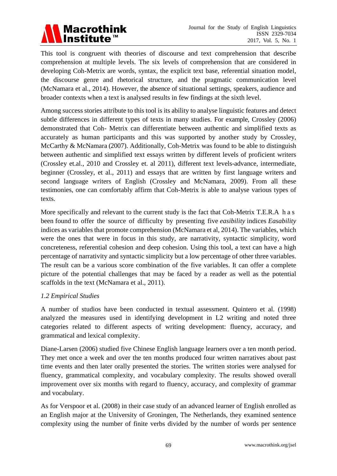

This tool is congruent with theories of discourse and text comprehension that describe comprehension at multiple levels. The six levels of comprehension that are considered in developing Coh-Metrix are words, syntax, the explicit text base, referential situation model, the discourse genre and rhetorical structure, and the pragmatic communication level (McNamara et al., 2014). However, the absence of situational settings, speakers, audience and broader contexts when a text is analysed results in few findings at the sixth level.

Among success stories attribute to this tool is its ability to analyse linguistic features and detect subtle differences in different types of texts in many studies. For example, Crossley (2006) demonstrated that Coh- Metrix can differentiate between authentic and simplified texts as accurately as human participants and this was supported by another study by Crossley, McCarthy & McNamara (2007). Additionally, Coh-Metrix was found to be able to distinguish between authentic and simplified text essays written by different levels of proficient writers (Crossley et.al., 2010 and Crossley et. al 2011), different text levels-advance, intermediate, beginner (Crossley, et al., 2011) and essays that are written by first language writers and second language writers of English (Crossley and McNamara, 2009). From all these testimonies, one can comfortably affirm that Coh-Metrix is able to analyse various types of texts.

More specifically and relevant to the current study is the fact that Coh-Metrix T.E.R.A h a s been found to offer the source of difficulty by presenting five *easibility* indices *Easability* indices as variables that promote comprehension (McNamara et al, 2014). The variables, which were the ones that were in focus in this study, are narrativity, syntactic simplicity, word concreteness, referential cohesion and deep cohesion. Using this tool, a text can have a high percentage of narrativity and syntactic simplicity but a low percentage of other three variables. The result can be a various score combination of the five variables. It can offer a complete picture of the potential challenges that may be faced by a reader as well as the potential scaffolds in the text (McNamara et al., 2011).

## *1.2 Empirical Studies*

A number of studios have been conducted in textual assessment. Quintero et al. (1998) analyzed the measures used in identifying development in L2 writing and noted three categories related to different aspects of writing development: fluency, accuracy, and grammatical and lexical complexity.

Diane-Larsen (2006) studied five Chinese English language learners over a ten month period. They met once a week and over the ten months produced four written narratives about past time events and then later orally presented the stories. The written stories were analysed for fluency, grammatical complexity, and vocabulary complexity. The results showed overall improvement over six months with regard to fluency, accuracy, and complexity of grammar and vocabulary.

As for Verspoor et al. (2008) in their case study of an advanced learner of English enrolled as an English major at the University of Groningen, The Netherlands, they examined sentence complexity using the number of finite verbs divided by the number of words per sentence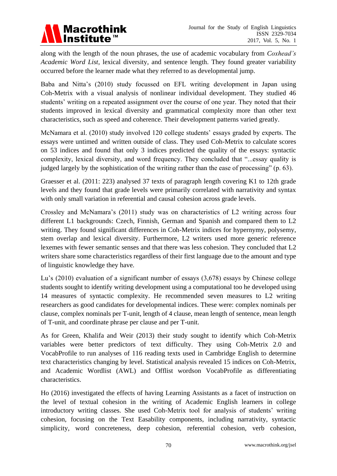

along with the length of the noun phrases, the use of academic vocabulary from *Coxhead's Academic Word List*, lexical diversity, and sentence length. They found greater variability occurred before the learner made what they referred to as developmental jump.

Baba and Nitta"s (2010) study focussed on EFL writing development in Japan using Coh-Metrix with a visual analysis of nonlinear individual development. They studied 46 students' writing on a repeated assignment over the course of one year. They noted that their students improved in lexical diversity and grammatical complexity more than other text characteristics, such as speed and coherence. Their development patterns varied greatly.

McNamara et al. (2010) study involved 120 college students' essays graded by experts. The essays were untimed and written outside of class. They used Coh-Metrix to calculate scores on 53 indices and found that only 3 indices predicted the quality of the essays: syntactic complexity, lexical diversity, and word frequency. They concluded that "...essay quality is judged largely by the sophistication of the writing rather than the ease of processing" (p. 63).

Graesser et al. (2011: 223) analysed 37 texts of paragraph length covering K1 to 12th grade levels and they found that grade levels were primarily correlated with narrativity and syntax with only small variation in referential and causal cohesion across grade levels.

Crossley and McNamara"s (2011) study was on characteristics of L2 writing across four different L1 backgrounds: Czech, Finnish, German and Spanish and compared them to L2 writing. They found significant differences in Coh-Metrix indices for hypernymy, polysemy, stem overlap and lexical diversity. Furthermore, L2 writers used more generic reference lexemes with fewer semantic senses and that there was less cohesion. They concluded that L2 writers share some characteristics regardless of their first language due to the amount and type of linguistic knowledge they have.

Lu"s (2010) evaluation of a significant number of essays (3,678) essays by Chinese college students sought to identify writing development using a computational too he developed using 14 measures of syntactic complexity. He recommended seven measures to L2 writing researchers as good candidates for developmental indices. These were: complex nominals per clause, complex nominals per T-unit, length of 4 clause, mean length of sentence, mean length of T-unit, and coordinate phrase per clause and per T-unit.

As for Green, Khalifa and Weir (2013) their study sought to identify which Coh-Metrix variables were better predictors of text difficulty. They using Coh-Metrix 2.0 and VocabProfile to run analyses of 116 reading texts used in Cambridge English to determine text characteristics changing by level. Statistical analysis revealed 15 indices on Coh-Metrix, and Academic Wordlist (AWL) and Offlist wordson VocabProfile as differentiating characteristics.

Ho (2016) investigated the effects of having Learning Assistants as a facet of instruction on the level of textual cohesion in the writing of Academic English learners in college introductory writing classes. She used Coh-Metrix tool for analysis of students' writing cohesion, focusing on the Text Easability components, including narrativity, syntactic simplicity, word concreteness, deep cohesion, referential cohesion, verb cohesion,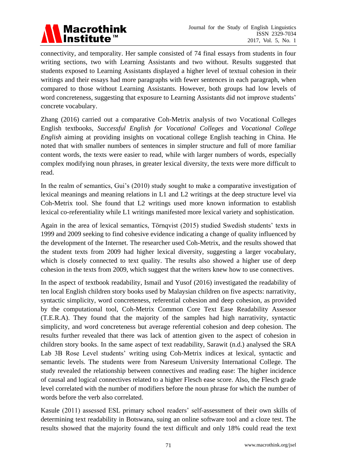

connectivity, and temporality. Her sample consisted of 74 final essays from students in four writing sections, two with Learning Assistants and two without. Results suggested that students exposed to Learning Assistants displayed a higher level of textual cohesion in their writings and their essays had more paragraphs with fewer sentences in each paragraph, when compared to those without Learning Assistants. However, both groups had low levels of word concreteness, suggesting that exposure to Learning Assistants did not improve students' concrete vocabulary.

Zhang (2016) carried out a comparative Coh-Metrix analysis of two Vocational Colleges English textbooks, *Successful English for Vocational Colleges* and *Vocational College English* aiming at providing insights on vocational college English teaching in China. He noted that with smaller numbers of sentences in simpler structure and full of more familiar content words, the texts were easier to read, while with larger numbers of words, especially complex modifying noun phrases, in greater lexical diversity, the texts were more difficult to read.

In the realm of semantics, Gui's (2010) study sought to make a comparative investigation of lexical meanings and meaning relations in L1 and L2 writings at the deep structure level via Coh-Metrix tool. She found that L2 writings used more known information to establish lexical co-referentiality while L1 writings manifested more lexical variety and sophistication.

Again in the area of lexical semantics, Törnqvist (2015) studied Swedish students' texts in 1999 and 2009 seeking to find cohesive evidence indicating a change of quality influenced by the development of the Internet. The researcher used Coh-Metrix, and the results showed that the student texts from 2009 had higher lexical diversity, suggesting a larger vocabulary, which is closely connected to text quality. The results also showed a higher use of deep cohesion in the texts from 2009, which suggest that the writers knew how to use connectives.

In the aspect of textbook readability, Ismail and Yusof (2016) investigated the readability of ten local English children story books used by Malaysian children on five aspects: narrativity, syntactic simplicity, word concreteness, referential cohesion and deep cohesion, as provided by the computational tool, Coh-Metrix Common Core Text Ease Readability Assessor (T.E.R.A). They found that the majority of the samples had high narrativity, syntactic simplicity, and word concreteness but average referential cohesion and deep cohesion. The results further revealed that there was lack of attention given to the aspect of cohesion in children story books. In the same aspect of text readability, Sarawit (n.d.) analysed the SRA Lab 3B Rose Level students' writing using Coh-Metrix indices at lexical, syntactic and semantic levels. The students were from Nareseum University International College. The study revealed the relationship between connectives and reading ease: The higher incidence of causal and logical connectives related to a higher Flesch ease score. Also, the Flesch grade level correlated with the number of modifiers before the noun phrase for which the number of words before the verb also correlated.

Kasule (2011) assessed ESL primary school readers' self-assessment of their own skills of determining text readability in Botswana, suing an online software tool and a cloze test. The results showed that the majority found the text difficult and only 18% could read the text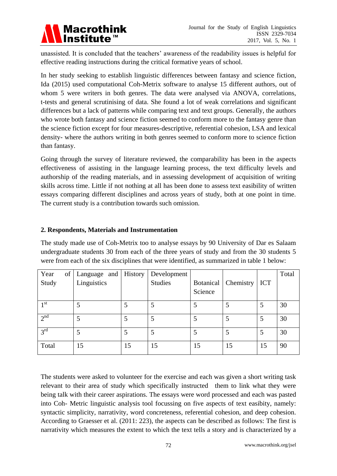

unassisted. It is concluded that the teachers" awareness of the readability issues is helpful for effective reading instructions during the critical formative years of school.

In her study seeking to establish linguistic differences between fantasy and science fiction, Ida (2015) used computational Coh-Metrix software to analyse 15 different authors, out of whom 5 were writers in both genres. The data were analysed via ANOVA, correlations, t-tests and general scrutinising of data. She found a lot of weak correlations and significant differences but a lack of patterns while comparing text and text groups. Generally, the authors who wrote both fantasy and science fiction seemed to conform more to the fantasy genre than the science fiction except for four measures-descriptive, referential cohesion, LSA and lexical density- where the authors writing in both genres seemed to conform more to science fiction than fantasy.

Going through the survey of literature reviewed, the comparability has been in the aspects effectiveness of assisting in the language learning process, the text difficulty levels and authorship of the reading materials, and in assessing development of acquisition of writing skills across time. Little if not nothing at all has been done to assess text easibility of written essays comparing different disciplines and across years of study, both at one point in time. The current study is a contribution towards such omission.

## **2. Respondents, Materials and Instrumentation**

The study made use of Coh-Metrix too to analyse essays by 90 University of Dar es Salaam undergraduate students 30 from each of the three years of study and from the 30 students 5 were from each of the six disciplines that were identified, as summarized in table 1 below:

| of<br>Year      | Language and History |    | Development    |           |           |     | Total |
|-----------------|----------------------|----|----------------|-----------|-----------|-----|-------|
| Study           | Linguistics          |    | <b>Studies</b> | Botanical | Chemistry | ICT |       |
|                 |                      |    |                | Science   |           |     |       |
| 1 <sub>st</sub> |                      |    | 5              |           |           | 5   | 30    |
| 2 <sup>nd</sup> |                      |    | 5              |           |           | 5   | 30    |
| 3 <sup>rd</sup> |                      |    |                |           |           | 5   | 30    |
| Total           | 15                   | 15 | 15             | 15        | 15        | 15  | 90    |

The students were asked to volunteer for the exercise and each was given a short writing task relevant to their area of study which specifically instructed them to link what they were being talk with their career aspirations. The essays were word processed and each was pasted into Coh- Metric linguistic analysis tool focussing on five aspects of text easibity, namely: syntactic simplicity, narrativity, word concreteness, referential cohesion, and deep cohesion. According to Graesser et al. (2011: 223), the aspects can be described as follows: The first is narrativity which measures the extent to which the text tells a story and is characterized by a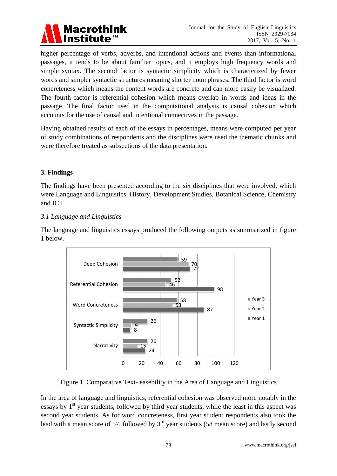

higher percentage of verbs, adverbs, and intentional actions and events than informational passages, it tends to be about familiar topics, and it employs high frequency words and simple syntax. The second factor is syntactic simplicity which is characterized by fewer words and simpler syntactic structures meaning shorter noun phrases. The third factor is word concreteness which means the content words are concrete and can more easily be visualized. The fourth factor is referential cohesion which means overlap in words and ideas in the passage. The final factor used in the computational analysis is causal cohesion which accounts for the use of causal and intentional connectives in the passage.

Having obtained results of each of the essays in percentages, means were computed per year of study combinations of respondents and the disciplines were used the thematic chunks and were therefore treated as subsections of the data presentation.

# **3. Findings**

The findings have been presented according to the six disciplines that were involved, which were Language and Linguistics, History, Development Studies, Botanical Science, Chemistry and ICT.

#### *3.1 Language and Linguistics*

The language and linguistics essays produced the following outputs as summarized in figure 1 below.



Figure 1. Comparative Text- easebility in the Area of Language and Linguistics

In the area of language and linguistics, referential cohesion was observed more notably in the essays by  $1<sup>st</sup>$  year students, followed by third year students, while the least in this aspect was second year students. As for word concreteness, first year student respondents also took the lead with a mean score of 57, followed by  $3<sup>rd</sup>$  year students (58 mean score) and lastly second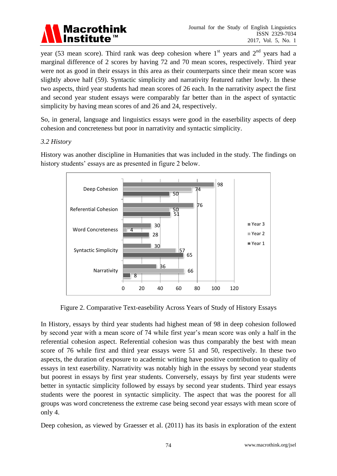

year (53 mean score). Third rank was deep cohesion where  $1<sup>st</sup>$  years and  $2<sup>nd</sup>$  years had a marginal difference of 2 scores by having 72 and 70 mean scores, respectively. Third year were not as good in their essays in this area as their counterparts since their mean score was slightly above half (59). Syntactic simplicity and narrativity featured rather lowly. In these two aspects, third year students had mean scores of 26 each. In the narrativity aspect the first and second year student essays were comparably far better than in the aspect of syntactic simplicity by having mean scores of and 26 and 24, respectively.

So, in general, language and linguistics essays were good in the easerbility aspects of deep cohesion and concreteness but poor in narrativity and syntactic simplicity.

# *3.2 History*

History was another discipline in Humanities that was included in the study. The findings on history students' essays are as presented in figure 2 below.



Figure 2. Comparative Text-easebility Across Years of Study of History Essays

In History, essays by third year students had highest mean of 98 in deep cohesion followed by second year with a mean score of 74 while first year"s mean score was only a half in the referential cohesion aspect. Referential cohesion was thus comparably the best with mean score of 76 while first and third year essays were 51 and 50, respectively. In these two aspects, the duration of exposure to academic writing have positive contribution to quality of essays in text easerbility. Narrativity was notably high in the essays by second year students but poorest in essays by first year students. Conversely, essays by first year students were better in syntactic simplicity followed by essays by second year students. Third year essays students were the poorest in syntactic simplicity. The aspect that was the poorest for all groups was word concreteness the extreme case being second year essays with mean score of only 4.

Deep cohesion, as viewed by Graesser et al. (2011) has its basis in exploration of the extent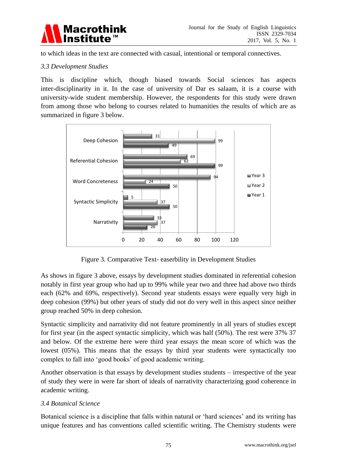

to which ideas in the text are connected with casual, intentional or temporal connectives.

#### *3.3 Development Studies*

This is discipline which, though biased towards Social sciences has aspects inter-disciplinarity in it. In the case of university of Dar es salaam, it is a course with university-wide student membership. However, the respondents for this study were drawn from among those who belong to courses related to humanities the results of which are as summarized in figure 3 below.



Figure 3. Comparative Text- easerbility in Development Studies

As shows in figure 3 above, essays by development studies dominated in referential cohesion notably in first year group who had up to 99% while year two and three had above two thirds each (62% and 69%, respectively). Second year students essays were equally very high in deep cohesion (99%) but other years of study did not do very well in this aspect since neither group reached 50% in deep cohesion.

Syntactic simplicity and narrativity did not feature prominently in all years of studies except for first year (in the aspect syntactic simplicity, which was half (50%). The rest were 37% 37 and below. Of the extreme here were third year essays the mean score of which was the lowest (05%). This means that the essays by third year students were syntactically too complex to fall into "good books" of good academic writing.

Another observation is that essays by development studies students – irrespective of the year of study they were in were far short of ideals of narrativity characterizing good coherence in academic writing.

## *3.4 Botanical Science*

Botanical science is a discipline that falls within natural or 'hard sciences' and its writing has unique features and has conventions called scientific writing. The Chemistry students were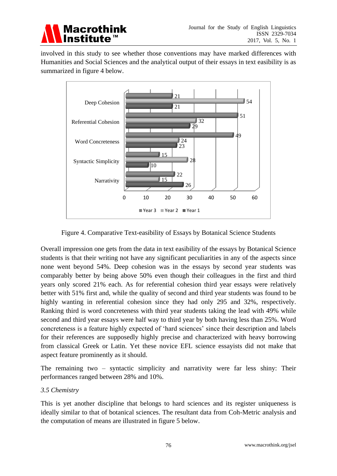

involved in this study to see whether those conventions may have marked differences with Humanities and Social Sciences and the analytical output of their essays in text easibility is as summarized in figure 4 below.



Figure 4. Comparative Text-easibility of Essays by Botanical Science Students

Overall impression one gets from the data in text easibility of the essays by Botanical Science students is that their writing not have any significant peculiarities in any of the aspects since none went beyond 54%. Deep cohesion was in the essays by second year students was comparably better by being above 50% even though their colleagues in the first and third years only scored 21% each. As for referential cohesion third year essays were relatively better with 51% first and, while the quality of second and third year students was found to be highly wanting in referential cohesion since they had only 295 and 32%, respectively. Ranking third is word concreteness with third year students taking the lead with 49% while second and third year essays were half way to third year by both having less than 25%. Word concreteness is a feature highly expected of 'hard sciences' since their description and labels for their references are supposedly highly precise and characterized with heavy borrowing from classical Greek or Latin. Yet these novice EFL science essayists did not make that aspect feature prominently as it should.

The remaining two – syntactic simplicity and narrativity were far less shiny: Their performances ranged between 28% and 10%.

## *3.5 Chemistry*

This is yet another discipline that belongs to hard sciences and its register uniqueness is ideally similar to that of botanical sciences. The resultant data from Coh-Metric analysis and the computation of means are illustrated in figure 5 below.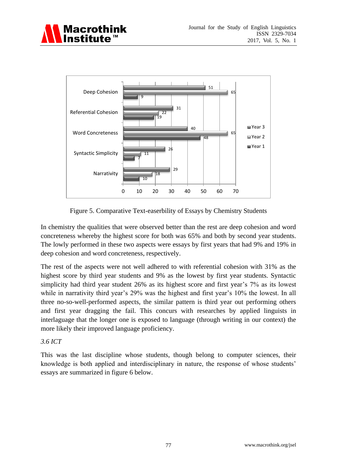



Figure 5. Comparative Text-easerbility of Essays by Chemistry Students

In chemistry the qualities that were observed better than the rest are deep cohesion and word concreteness whereby the highest score for both was 65% and both by second year students. The lowly performed in these two aspects were essays by first years that had 9% and 19% in deep cohesion and word concreteness, respectively.

The rest of the aspects were not well adhered to with referential cohesion with 31% as the highest score by third year students and 9% as the lowest by first year students. Syntactic simplicity had third year student 26% as its highest score and first year's 7% as its lowest while in narrativity third year's 29% was the highest and first year's 10% the lowest. In all three no-so-well-performed aspects, the similar pattern is third year out performing others and first year dragging the fail. This concurs with researches by applied linguists in interlaguage that the longer one is exposed to language (through writing in our context) the more likely their improved language proficiency.

# *3.6 ICT*

This was the last discipline whose students, though belong to computer sciences, their knowledge is both applied and interdisciplinary in nature, the response of whose students" essays are summarized in figure 6 below.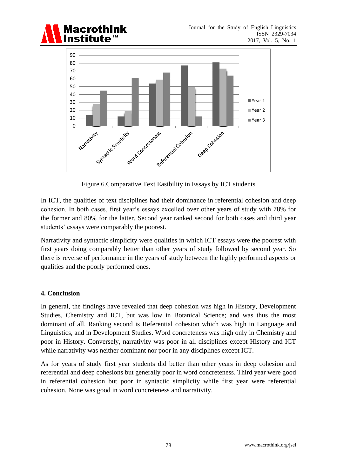



Figure 6.Comparative Text Easibility in Essays by ICT students

In ICT, the qualities of text disciplines had their dominance in referential cohesion and deep cohesion. In both cases, first year"s essays excelled over other years of study with 78% for the former and 80% for the latter. Second year ranked second for both cases and third year students' essays were comparably the poorest.

Narrativity and syntactic simplicity were qualities in which ICT essays were the poorest with first years doing comparably better than other years of study followed by second year. So there is reverse of performance in the years of study between the highly performed aspects or qualities and the poorly performed ones.

# **4. Conclusion**

In general, the findings have revealed that deep cohesion was high in History, Development Studies, Chemistry and ICT, but was low in Botanical Science; and was thus the most dominant of all. Ranking second is Referential cohesion which was high in Language and Linguistics, and in Development Studies. Word concreteness was high only in Chemistry and poor in History. Conversely, narrativity was poor in all disciplines except History and ICT while narrativity was neither dominant nor poor in any disciplines except ICT.

As for years of study first year students did better than other years in deep cohesion and referential and deep cohesions but generally poor in word concreteness. Third year were good in referential cohesion but poor in syntactic simplicity while first year were referential cohesion. None was good in word concreteness and narrativity.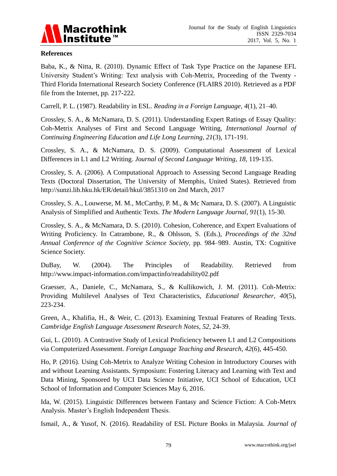

## **References**

Baba, K., & Nitta, R. (2010). Dynamic Effect of Task Type Practice on the Japanese EFL University Student"s Writing: Text analysis with Coh-Metrix, Proceeding of the Twenty - Third Florida International Research Society Conference (FLAIRS 2010). Retrieved as a PDF file from the Internet, pp. 217-222.

Carrell, P. L. (1987). Readability in ESL. *Reading in a Foreign Language*, *4*(1), 21–40.

Crossley, S. A., & McNamara, D. S. (2011). Understanding Expert Ratings of Essay Quality: Coh-Metrix Analyses of First and Second Language Writing, *International Journal of Continuing Engineering Education and Life Long Learning*, *21*(3), 171-191.

Crossley, S. A., & McNamara, D. S. (2009). Computational Assessment of Lexical Differences in L1 and L2 Writing. *Journal of Second Language Writing*, *18*, 119-135.

Crossley, S. A. (2006). A Computational Approach to Assessing Second Language Reading Texts (Doctoral Dissertation, The University of Memphis, United States). Retrieved from http://sunzi.lib.hku.hk/ER/detail/hkul/3851310 on 2nd March, 2017

Crossley, S. A., Louwerse, M. M., McCarthy, P. M., & Mc Namara, D. S. (2007). A Linguistic Analysis of Simplified and Authentic Texts. *The Modern Language Journal*, *91*(1), 15-30.

Crossley, S. A., & McNamara, D. S. (2010). Cohesion, Coherence, and Expert Evaluations of Writing Proficiency. In Catrambone, R., & Ohlsson, S. (Eds.), *Proceedings of the 32nd Annual Conference of the Cognitive Science Society*, pp. 984–989. Austin, TX: Cognitive Science Society.

DuBay, W. (2004). The Principles of Readability. Retrieved from http://www.impact-information.com/impactinfo/readability02.pdf

Graesser, A., Daniele, C., McNamara, S., & Kullikowich, J. M. (2011). Coh-Metrix: Providing Multilevel Analyses of Text Characteristics, *Educational Researcher*, *40*(5), 223-234.

Green, A., Khalifia, H., & Weir, C. (2013). Examining Textual Features of Reading Texts. *Cambridge English Language Assessment Research Notes*, *52,* 24-39.

Gui, L. (2010). A Contrastive Study of Lexical Proficiency between L1 and L2 Compositions via Computerized Assessment. *Foreign Language Teaching and Research*, *42*(6), 445-450.

Ho, P. (2016). Using Coh-Metrix to Analyze Writing Cohesion in Introductory Courses with and without Learning Assistants. Symposium: Fostering Literacy and Learning with Text and Data Mining, Sponsored by UCI Data Science Initiative, UCI School of Education, UCI School of Information and Computer Sciences May 6, 2016.

Ida, W. (2015). Linguistic Differences between Fantasy and Science Fiction: A Coh-Metrx Analysis. Master"s English Independent Thesis.

Ismail, A., & Yusof, N. (2016). Readability of ESL Picture Books in Malaysia. *Journal of*